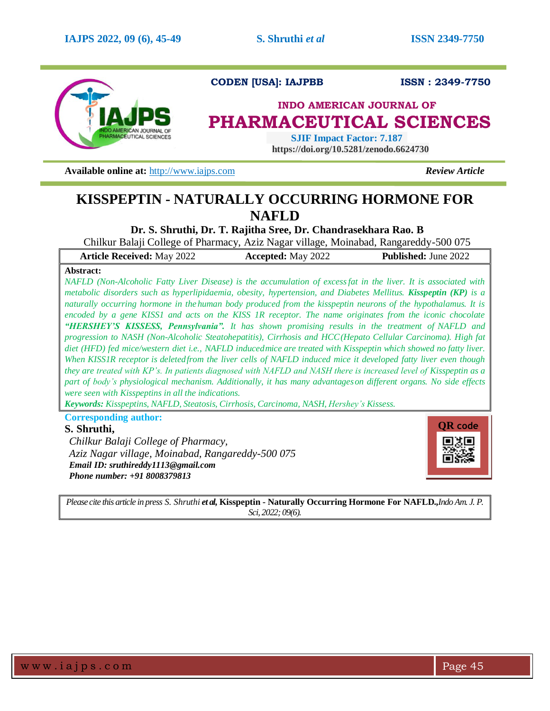

# **CODEN [USA]: IAJPBB ISSN : 2349-7750**

# **INDO AMERICAN JOURNAL OF PHARMACEUTICAL SCIENCES**

 **SJIF Impact Factor: 7.187 https://doi.org/10.5281/zenodo.6624730**

**Available online at:** [http://www.iajps.com](http://www.iajps.com/) *Review Article*

# **KISSPEPTIN - NATURALLY OCCURRING HORMONE FOR NAFLD**

**Dr. S. Shruthi, Dr. T. Rajitha Sree, Dr. Chandrasekhara Rao. B**

Chilkur Balaji College of Pharmacy, Aziz Nagar village, Moinabad, Rangareddy-500 075

| <b>Article Received: May 2022</b> | <b>Accepted:</b> May 2022 | <b>Published:</b> June 2022 |
|-----------------------------------|---------------------------|-----------------------------|
|                                   |                           |                             |

## **Abstract:**

*NAFLD (Non-Alcoholic Fatty Liver Disease) is the accumulation of excessfat in the liver. It is associated with metabolic disorders such as hyperlipidaemia, obesity, hypertension, and Diabetes Mellitus. Kisspeptin (KP) is a naturally occurring hormone in the human body produced from the kisspeptin neurons of the hypothalamus. It is encoded by a gene KISS1 and acts on the KISS 1R receptor. The name originates from the iconic chocolate "HERSHEY'S KISSESS, Pennsylvania". It has shown promising results in the treatment of NAFLD and progression to NASH (Non-Alcoholic Steatohepatitis), Cirrhosis and HCC(Hepato Cellular Carcinoma). High fat* diet (HFD) fed mice/western diet i.e., NAFLD inducedmice are treated with Kisspeptin which showed no fatty liver. *When KISS1R receptor is deletedfrom the liver cells of NAFLD induced mice it developed fatty liver even though they are treated with KP's. In patients diagnosed with NAFLD and NASH there is increased level of Kisspeptin as a part of body's physiological mechanism. Additionally, it has many advantageson different organs. No side effects were seen with Kisspeptins in all the indications.*

*Keywords: Kisspeptins, NAFLD, Steatosis, Cirrhosis, Carcinoma, NASH, Hershey's Kissess.*

**Corresponding author:** 

# **S. Shruthi,**

*Chilkur Balaji College of Pharmacy, Aziz Nagar village, Moinabad, Rangareddy-500 075 Email ID: [sruthireddy1113@gmail.com](mailto:sruthireddy1113@gmail.com) Phone number: +91 8008379813*



*Please cite this article in press S. Shruthi et al,* **Kisspeptin - Naturally Occurring Hormone For NAFLD***.,Indo Am. J. P. Sci, 2022; 09(6).*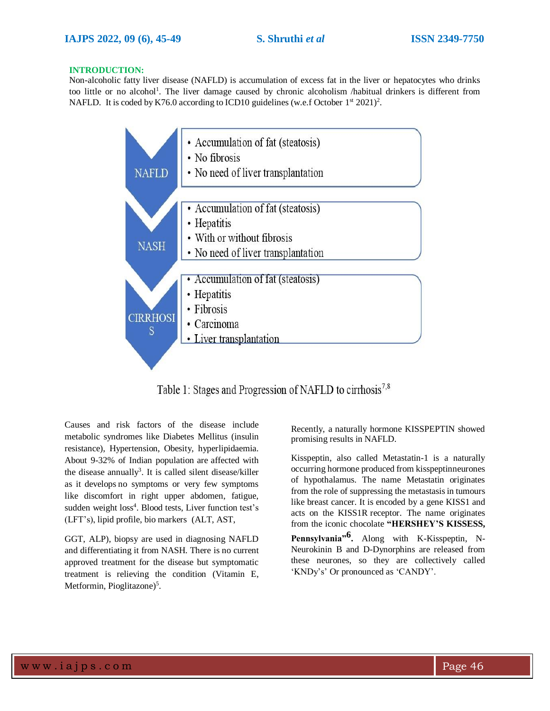#### **INTRODUCTION:**

Non-alcoholic fatty liver disease (NAFLD) is accumulation of excess fat in the liver or hepatocytes who drinks too little or no alcohol<sup>1</sup>. The liver damage caused by chronic alcoholism /habitual drinkers is different from NAFLD. It is coded by K76.0 according to ICD10 guidelines (w.e.f October  $1<sup>st</sup> 2021$ )<sup>2</sup>.



Table 1: Stages and Progression of NAFLD to cirrhosis<sup>7,8</sup>

Causes and risk factors of the disease include metabolic syndromes like Diabetes Mellitus (insulin resistance), Hypertension, Obesity, hyperlipidaemia. About 9-32% of Indian population are affected with the disease annually<sup>3</sup>. It is called silent disease/killer as it develops no symptoms or very few symptoms like discomfort in right upper abdomen, fatigue, sudden weight loss<sup>4</sup>. Blood tests, Liver function test's (LFT's), lipid profile, bio markers (ALT, AST,

GGT, ALP), biopsy are used in diagnosing NAFLD and differentiating it from NASH. There is no current approved treatment for the disease but symptomatic treatment is relieving the condition (Vitamin E, Metformin, Pioglitazone)<sup>5</sup>.

Recently, a naturally hormone KISSPEPTIN showed promising results in NAFLD.

Kisspeptin, also called Metastatin-1 is a naturally occurring hormone produced from kisspeptinneurones of hypothalamus. The name Metastatin originates from the role of suppressing the metastasisin tumours like breast cancer. It is encoded by a gene KISS1 and acts on the KISS1R receptor. The name originates from the iconic chocolate **"HERSHEY'S KISSESS,**

**Pennsylvania"6 .** Along with K-Kisspeptin, N-Neurokinin B and D-Dynorphins are released from these neurones, so they are collectively called 'KNDy's' Or pronounced as 'CANDY'.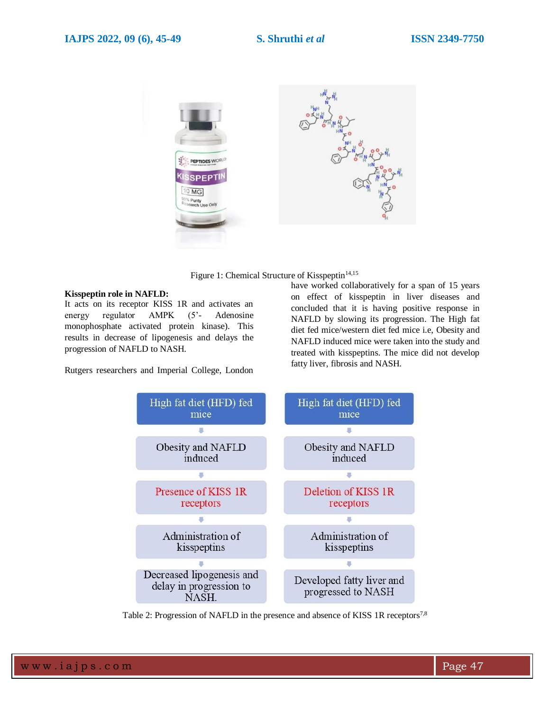



#### **Kisspeptin role in NAFLD:**

It acts on its receptor KISS 1R and activates an energy regulator AMPK (5'- Adenosine monophosphate activated protein kinase). This results in decrease of lipogenesis and delays the progression of NAFLD to NASH.

Rutgers researchers and Imperial College, London

have worked collaboratively for a span of 15 years on effect of kisspeptin in liver diseases and concluded that it is having positive response in NAFLD by slowing its progression. The High fat diet fed mice/western diet fed mice i.e, Obesity and NAFLD induced mice were taken into the study and treated with kisspeptins. The mice did not develop fatty liver, fibrosis and NASH.



Table 2: Progression of NAFLD in the presence and absence of KISS 1R receptors<sup>7,8</sup>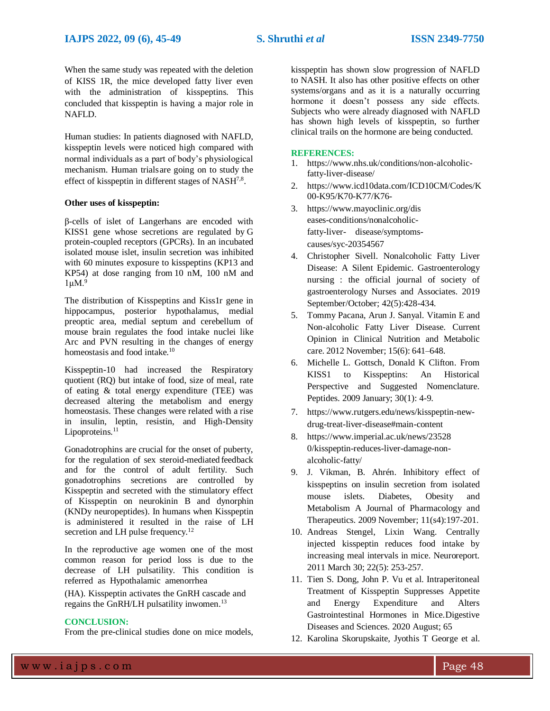When the same study was repeated with the deletion of KISS 1R, the mice developed fatty liver even with the administration of kisspeptins. This concluded that kisspeptin is having a major role in NAFLD.

Human studies: In patients diagnosed with NAFLD, kisspeptin levels were noticed high compared with normal individuals as a part of body's physiological mechanism. Human trialsare going on to study the effect of kisspeptin in different stages of  $NASH^{7,8}$ .

### **Other uses of kisspeptin:**

β-cells of islet of Langerhans are encoded with KISS1 gene whose secretions are regulated by G protein-coupled receptors (GPCRs). In an incubated isolated mouse islet, insulin secretion was inhibited with 60 minutes exposure to kisspeptins (KP13 and KP54) at dose ranging from 10 nM, 100 nM and  $1 \mu M$ .<sup>9</sup>

The distribution of Kisspeptins and Kiss1r gene in hippocampus, posterior hypothalamus, medial preoptic area, medial septum and cerebellum of mouse brain regulates the food intake nuclei like Arc and PVN resulting in the changes of energy homeostasis and food intake.<sup>10</sup>

Kisspeptin-10 had increased the Respiratory quotient (RQ) but intake of food, size of meal, rate of eating & total energy expenditure (TEE) was decreased altering the metabolism and energy homeostasis. These changes were related with a rise in insulin, leptin, resistin, and High-Density Lipoproteins.<sup>11</sup>

Gonadotrophins are crucial for the onset of puberty, for the regulation of sex steroid-mediated feedback and for the control of adult fertility. Such gonadotrophins secretions are controlled by Kisspeptin and secreted with the stimulatory effect of Kisspeptin on neurokinin B and dynorphin (KNDy neuropeptides). In humans when Kisspeptin is administered it resulted in the raise of LH secretion and LH pulse frequency.<sup>12</sup>

In the reproductive age women one of the most common reason for period loss is due to the decrease of LH pulsatility. This condition is referred as Hypothalamic amenorrhea

(HA). Kisspeptin activates the GnRH cascade and regains the GnRH/LH pulsatility inwomen.<sup>13</sup>

## **CONCLUSION:**

From the pre-clinical studies done on mice models,

kisspeptin has shown slow progression of NAFLD to NASH. It also has other positive effects on other systems/organs and as it is a naturally occurring hormone it doesn't possess any side effects. Subjects who were already diagnosed with NAFLD has shown high levels of kisspeptin, so further clinical trails on the hormone are being conducted.

#### **REFERENCES:**

- 1. [https://www.nhs.uk/conditions/non-alcoholic](https://www.nhs.uk/conditions/non-alcoholic-fatty-liver-disease/)[fatty-liver-disease/](https://www.nhs.uk/conditions/non-alcoholic-fatty-liver-disease/)
- 2. [https://www.icd10data.com/ICD10CM/Codes/K](https://www.icd10data.com/ICD10CM/Codes/K00-K95/K70-K77/K76-) [00-K95/K70-K77/K76-](https://www.icd10data.com/ICD10CM/Codes/K00-K95/K70-K77/K76-)
- 3. [https://www.mayoclinic.org/dis](https://www.mayoclinic.org/diseases-conditions/nonalcoholic-fatty-liver-disease/symptoms-causes/syc-20354567) [eases-conditions/nonalcoholic](https://www.mayoclinic.org/diseases-conditions/nonalcoholic-fatty-liver-disease/symptoms-causes/syc-20354567)[fatty-liver-](https://www.mayoclinic.org/diseases-conditions/nonalcoholic-fatty-liver-disease/symptoms-causes/syc-20354567) [disease/symptoms](https://www.mayoclinic.org/diseases-conditions/nonalcoholic-fatty-liver-disease/symptoms-causes/syc-20354567)[causes/syc-20354567](https://www.mayoclinic.org/diseases-conditions/nonalcoholic-fatty-liver-disease/symptoms-causes/syc-20354567)
- 4. Christopher Sivell. [Nonalcoholic](https://pubmed.ncbi.nlm.nih.gov/31574071/) Fatty Liver Disease: A Silent [Epidemic.](https://pubmed.ncbi.nlm.nih.gov/31574071/) [Gastroenterology](https://pubmed.ncbi.nlm.nih.gov/31574071/)  [nursing : the official journal of society of](https://pubmed.ncbi.nlm.nih.gov/31574071/)  [gastroenterology Nurses](https://pubmed.ncbi.nlm.nih.gov/31574071/) and [Associates. 2019](https://pubmed.ncbi.nlm.nih.gov/31574071/)  [September/October; 42\(5\):428-434.](https://pubmed.ncbi.nlm.nih.gov/31574071/)
- 5. [Tommy Pacana, Arun J. Sanyal. Vitamin E and](https://www.ncbi.nlm.nih.gov/pmc/articles/PMC4984672/)  [Non-alcoholic Fatty Liver Disease.](https://www.ncbi.nlm.nih.gov/pmc/articles/PMC4984672/) [Current](https://www.ncbi.nlm.nih.gov/pmc/articles/PMC4984672/) Opinion in Clinical Nutrition and [Metabolic](https://www.ncbi.nlm.nih.gov/pmc/articles/PMC4984672/) care. 2012 [November;](https://www.ncbi.nlm.nih.gov/pmc/articles/PMC4984672/) 15(6): 641[–648.](https://www.ncbi.nlm.nih.gov/pmc/articles/PMC4984672/)
- 6. Michelle L. Gottsch, [Donald K Clifton. From](https://www.ncbi.nlm.nih.gov/pmc/articles/PMC2683679/)  [KISS1 to Kisspeptins: An Historical](https://www.ncbi.nlm.nih.gov/pmc/articles/PMC2683679/) Perspective [and Suggested](https://www.ncbi.nlm.nih.gov/pmc/articles/PMC2683679/) Nomenclature. Peptides. 2009 [January; 30\(1\):](https://www.ncbi.nlm.nih.gov/pmc/articles/PMC2683679/) 4-9.
- 7. [https://www.rutgers.edu/news/kisspeptin-new](https://www.rutgers.edu/news/kisspeptin-new-drug-treat-liver-disease#main-content)[drug-treat-liver-disease#main-content](https://www.rutgers.edu/news/kisspeptin-new-drug-treat-liver-disease#main-content)
- 8. [https://www.imperial.ac.uk/news/23528](https://www.imperial.ac.uk/news/235280/kisspeptin-reduces-liver-damage-non-alcoholic-fatty/) [0/kisspeptin-reduces-liver-damage-non](https://www.imperial.ac.uk/news/235280/kisspeptin-reduces-liver-damage-non-alcoholic-fatty/)[alcoholic-fatty/](https://www.imperial.ac.uk/news/235280/kisspeptin-reduces-liver-damage-non-alcoholic-fatty/)
- 9. J. Vikman, B. Ahrén. [Inhibitory](https://dom-pubs.onlinelibrary.wiley.com/doi/full/10.1111/j.1463-1326.2009.01116.x) effect of [kisspeptins](https://dom-pubs.onlinelibrary.wiley.com/doi/full/10.1111/j.1463-1326.2009.01116.x) on insulin secretion from isolated [mouse islets.](https://dom-pubs.onlinelibrary.wiley.com/doi/full/10.1111/j.1463-1326.2009.01116.x) Diabetes, Obesity and Metabolism A Journal [of Pharmacology](https://dom-pubs.onlinelibrary.wiley.com/doi/full/10.1111/j.1463-1326.2009.01116.x) and Therapeutics. [2009 November; 11\(s4\):197-201.](https://dom-pubs.onlinelibrary.wiley.com/doi/full/10.1111/j.1463-1326.2009.01116.x)
- 10. [Andreas Stengel, Lixin Wang. Centrally](https://www.ncbi.nlm.nih.gov/pmc/articles/PMC3063509/)  [injected kisspeptin reduces food intake by](https://www.ncbi.nlm.nih.gov/pmc/articles/PMC3063509/) increasing meal intervals [in mice. Neuroreport.](https://www.ncbi.nlm.nih.gov/pmc/articles/PMC3063509/) 2011 March [30; 22\(5\): 253-257.](https://www.ncbi.nlm.nih.gov/pmc/articles/PMC3063509/)
- 11. [Tien S. Dong, John P. Vu et al. Intraperitoneal](https://link.springer.com/article/10.1007/s10620-019-05950-7)  [Treatment of Kisspeptin Suppresses](https://link.springer.com/article/10.1007/s10620-019-05950-7) [Appetite](https://link.springer.com/article/10.1007/s10620-019-05950-7) and Energy [Expenditure](https://link.springer.com/article/10.1007/s10620-019-05950-7) and Alters [Gastrointestinal](https://link.springer.com/article/10.1007/s10620-019-05950-7) Hormones in Mic[e.Digestive](https://link.springer.com/article/10.1007/s10620-019-05950-7) Diseases [and Sciences. 2020](https://link.springer.com/article/10.1007/s10620-019-05950-7) August; 65
- 12. Karolina [Skorupskaite,](https://pubmed.ncbi.nlm.nih.gov/24615662/) Jyothis T George et al.